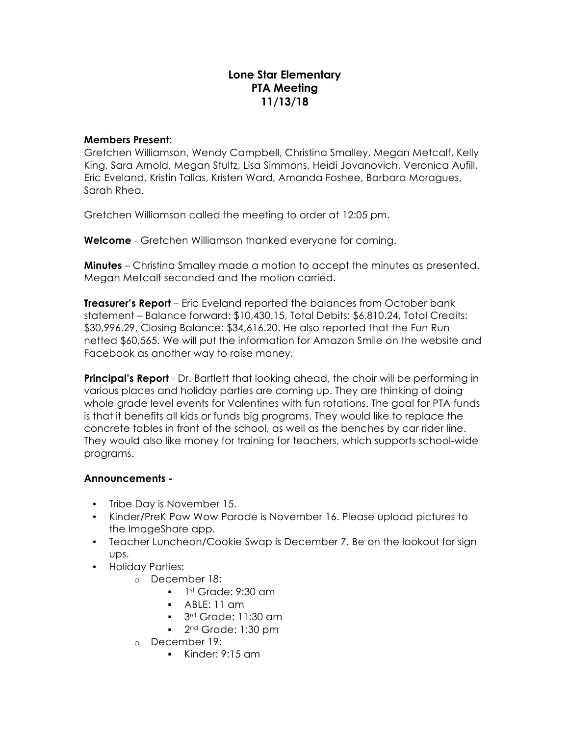# **Lone Star Elementary PTA Meeting 11/13/18**

#### **Members Present**:

Gretchen Williamson, Wendy Campbell, Christina Smalley, Megan Metcalf, Kelly King, Sara Arnold, Megan Stultz, Lisa Simmons, Heidi Jovanovich, Veronica Aufill, Eric Eveland, Kristin Tallas, Kristen Ward, Amanda Foshee, Barbara Moragues, Sarah Rhea.

Gretchen Williamson called the meeting to order at 12:05 pm.

**Welcome** - Gretchen Williamson thanked everyone for coming.

**Minutes** – Christina Smalley made a motion to accept the minutes as presented. Megan Metcalf seconded and the motion carried.

**Treasurer's Report** – Eric Eveland reported the balances from October bank statement – Balance forward: \$10,430.15, Total Debits: \$6,810.24, Total Credits: \$30,996.29, Closing Balance: \$34,616.20. He also reported that the Fun Run netted \$60,565. We will put the information for Amazon Smile on the website and Facebook as another way to raise money.

**Principal's Report** - Dr. Bartlett that looking ahead, the choir will be performing in various places and holiday parties are coming up. They are thinking of doing whole grade level events for Valentines with fun rotations. The goal for PTA funds is that it benefits all kids or funds big programs. They would like to replace the concrete tables in front of the school, as well as the benches by car rider line. They would also like money for training for teachers, which supports school-wide programs.

### **Announcements -**

- Tribe Day is November 15.
- Kinder/PreK Pow Wow Parade is November 16. Please upload pictures to the ImageShare app.
- Teacher Luncheon/Cookie Swap is December 7. Be on the lookout for sign ups.
- Holiday Parties:
	- o December 18:
		- $\blacksquare$  1st Grade: 9:30 am
		- § ABLE: 11 am
		- 3<sup>rd</sup> Grade: 11:30 am
		- 2<sup>nd</sup> Grade: 1:30 pm
	- o December 19:
		- $\blacksquare$  Kinder: 9:15 am